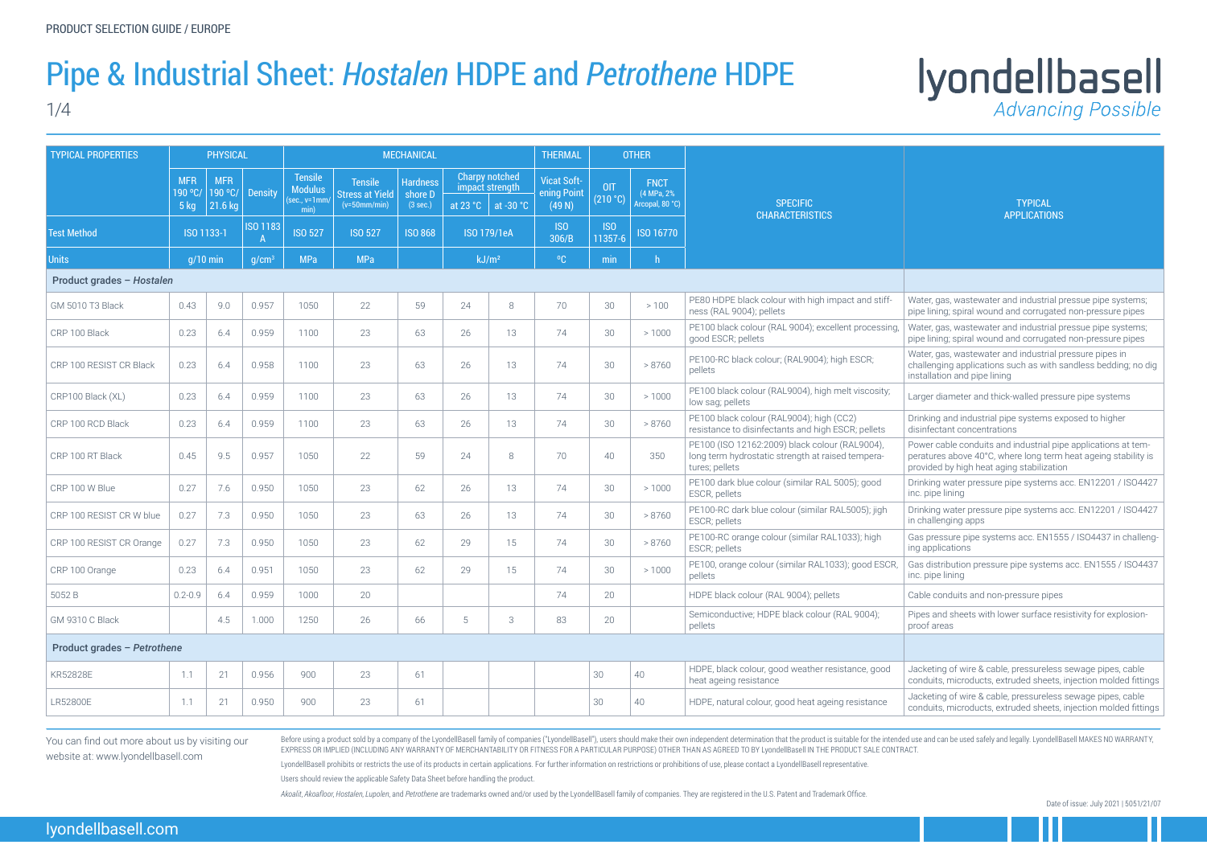### Pipe & Industrial Sheet: *Hostalen* HDPE and *Petrothene* HDPE

1/4

## Iyondellbasell

Before using a product sold by a company of the LyondellBasell family of companies ("LyondellBasell"), users should make their own independent determination that the product is suitable for the intended use and can be used EXPRESS OR IMPLIED (INCLUDING ANY WARRANTY OF MERCHANTABILITY OR FITNESS FOR A PARTICULAR PURPOSE) OTHER THAN AS AGREED TO BY LyondellBasell IN THE PRODUCT SALE CONTRACT.

LyondellBasell prohibits or restricts the use of its products in certain applications. For further information on restrictions or prohibitions of use, please contact a LyondellBasell representative. Users should review the applicable Safety Data Sheet before handling the product.

Akoalit. Akoafloor, Hostalen, Lupolen, and Petrothene are trademarks owned and/or used by the Lyondel Basell family of companies. They are registered in the U.S. Patent and Trademark Office.

TYPICAL APPLICATIONS

Water, gas, wastewater and industrial pressue pipe systems; pipe lining; spiral wound and corrugated non-pressure pipes

Water, gas, wastewater and industrial pressue pipe systems; pipe lining; spiral wound and corrugated non-pressure pipes

Pipes and sheets with lower surface resistivity for explosionproof areas

Water, gas, wastewater and industrial pressure pipes in challenging applications such as with sandless bedding; no dig installation and pipe lining

Larger diameter and thick-walled pressure pipe systems

Jacketing of wire & cable, pressureless sewage pipes, cable conduits, microducts, extruded sheets, injection molded fittings

| <b>TYPICAL PROPERTIES</b>   | <b>PHYSICAL</b>                 |                                  |                                 |                                                             |                                                            | <b>MECHANICAL</b>                      |                    |                                                                                                      | <b>THERMAL</b>      |                            | <b>OTHER</b>                                 |                                                                                                                       |  |
|-----------------------------|---------------------------------|----------------------------------|---------------------------------|-------------------------------------------------------------|------------------------------------------------------------|----------------------------------------|--------------------|------------------------------------------------------------------------------------------------------|---------------------|----------------------------|----------------------------------------------|-----------------------------------------------------------------------------------------------------------------------|--|
|                             | <b>MFR</b><br>190 °C/<br>$5$ kg | <b>MFR</b><br>190 °C/<br>21.6 kg | <b>Density</b>                  | <b>Tensile</b><br><b>Modulus</b><br>$(sec., v=1mm/$<br>min) | <b>Tensile</b><br><b>Stress at Yield</b><br>$(v=50mm/min)$ | <b>Hardness</b><br>shore D<br>(3 sec.) | at $23 °C$         | <b>Charpy notched</b><br><b>Vicat Soft-</b><br>impact strength<br>ening Point<br>at -30 $^{\circ}$ C |                     | <b>OIT</b><br>(210 °C)     | <b>FNCT</b><br>(4 MPa, 2%<br>Arcopal, 80 °C) | <b>SPECIFIC</b><br><b>CHARACTERISTICS</b>                                                                             |  |
| <b>Test Method</b>          | ISO 1133-1                      |                                  | <b>ISO 1183</b><br>$\mathsf{A}$ | <b>ISO 527</b>                                              | <b>ISO 527</b>                                             | <b>ISO 868</b>                         | <b>ISO 179/1eA</b> |                                                                                                      | <b>ISO</b><br>306/B | IS <sub>0</sub><br>11357-6 | <b>ISO 16770</b>                             |                                                                                                                       |  |
| <b>Units</b>                | $q/10$ min                      |                                  | q/cm <sup>3</sup>               | <b>MPa</b>                                                  | <b>MPa</b>                                                 |                                        | kJ/m <sup>2</sup>  |                                                                                                      | $^{\circ}$ C        | min                        | h                                            |                                                                                                                       |  |
| Product grades - Hostalen   |                                 |                                  |                                 |                                                             |                                                            |                                        |                    |                                                                                                      |                     |                            |                                              |                                                                                                                       |  |
| <b>GM 5010 T3 Black</b>     | 0.43                            | 9.0                              | 0.957                           | 1050                                                        | 22                                                         | 59                                     | 24                 | 8                                                                                                    | 70                  | 30                         | >100                                         | PE80 HDPE black colour with high impact and stiff-<br>ness (RAL 9004); pellets                                        |  |
| CRP 100 Black               | 0.23                            | 6.4                              | 0.959                           | 1100                                                        | 23                                                         | 63                                     | 26                 | 13                                                                                                   | 74                  | 30                         | >1000                                        | PE100 black colour (RAL 9004); excellent processing,<br>good ESCR; pellets                                            |  |
| CRP 100 RESIST CR Black     | 0.23                            | 6.4                              | 0.958                           | 1100                                                        | 23                                                         | 63                                     | 26                 | 13                                                                                                   | 74                  | 30                         | > 8760                                       | PE100-RC black colour; (RAL9004); high ESCR;<br>pellets                                                               |  |
| CRP100 Black (XL)           | 0.23                            | 6.4                              | 0.959                           | 1100                                                        | 23                                                         | 63                                     | 26                 | 13                                                                                                   | 74                  | 30                         | >1000                                        | PE100 black colour (RAL9004), high melt viscosity;<br>low sag; pellets                                                |  |
| CRP 100 RCD Black           | 0.23                            | 6.4                              | 0.959                           | 1100                                                        | 23                                                         | 63                                     | 26                 | 13                                                                                                   | 74                  | 30                         | > 8760                                       | PE100 black colour (RAL9004); high (CC2)<br>resistance to disinfectants and high ESCR; pellets                        |  |
| CRP 100 RT Black            | 0.45                            | 9.5                              | 0.957                           | 1050                                                        | 22                                                         | 59                                     | 24                 | 8                                                                                                    | 70                  | 40                         | 350                                          | PE100 (ISO 12162:2009) black colour (RAL9004),<br>long term hydrostatic strength at raised tempera-<br>tures; pellets |  |
| CRP 100 W Blue              | 0.27                            | 7.6                              | 0.950                           | 1050                                                        | 23                                                         | 62                                     | 26                 | 13                                                                                                   | 74                  | 30                         | >1000                                        | PE100 dark blue colour (similar RAL 5005); good<br>ESCR, pellets                                                      |  |
| CRP 100 RESIST CR W blue    | 0.27                            | 7.3                              | 0.950                           | 1050                                                        | 23                                                         | 63                                     | 26                 | 13                                                                                                   | 74                  | 30                         | > 8760                                       | PE100-RC dark blue colour (similar RAL5005); jigh<br>ESCR; pellets                                                    |  |
| CRP 100 RESIST CR Orange    | 0.27                            | 7.3                              | 0.950                           | 1050                                                        | 23                                                         | 62                                     | 29                 | 15                                                                                                   | 74                  | 30                         | > 8760                                       | PE100-RC orange colour (similar RAL1033); high<br>ESCR; pellets                                                       |  |
| CRP 100 Orange              | 0.23                            | 6.4                              | 0.951                           | 1050                                                        | 23                                                         | 62                                     | 29                 | 15                                                                                                   | 74                  | 30                         | >1000                                        | PE100, orange colour (similar RAL1033); good ESCR,<br>pellets                                                         |  |
| 5052 B                      | $0.2 - 0.9$                     | 6.4                              | 0.959                           | 1000                                                        | 20                                                         |                                        |                    |                                                                                                      | 74                  | 20                         |                                              | HDPE black colour (RAL 9004); pellets                                                                                 |  |
| GM 9310 C Black             |                                 | 4.5                              | 1.000                           | 1250                                                        | 26                                                         | 66                                     | 5                  | 3                                                                                                    | 83                  | 20                         |                                              | Semiconductive; HDPE black colour (RAL 9004);<br>pellets                                                              |  |
| Product grades - Petrothene |                                 |                                  |                                 |                                                             |                                                            |                                        |                    |                                                                                                      |                     |                            |                                              |                                                                                                                       |  |
| KR52828E                    | 1.1                             | 21                               | 0.956                           | 900                                                         | 23                                                         | 61                                     |                    |                                                                                                      |                     | 30                         | 40                                           | HDPE, black colour, good weather resistance, good<br>heat ageing resistance                                           |  |
| LR52800E                    | 1.1                             | 21                               | 0.950                           | 900                                                         | 23                                                         | 61                                     |                    |                                                                                                      |                     | 30                         | 40                                           | HDPE, natural colour, good heat ageing resistance                                                                     |  |

Drinking and industrial pipe systems exposed to higher disinfectant concentrations

Power cable conduits and industrial pipe applications at temperatures above 40°C, where long term heat ageing stability is provided by high heat aging stabilization

Drinking water pressure pipe systems acc. EN12201 / ISO4427 inc. pipe lining

Drinking water pressure pipe systems acc. EN12201 / ISO4427 in challenging apps

Gas pressure pipe systems acc. EN1555 / ISO4437 in challenging applications

Gas distribution pressure pipe systems acc. EN1555 / ISO4437 inc. pipe lining

Cable conduits and non-pressure pipes

Jacketing of wire & cable, pressureless sewage pipes, cable conduits, microducts, extruded sheets, injection molded fittings

You can find out more about us by visiting our website at: www.lyondellbasell.com

Date of issue: July 2021 | 5051/21/07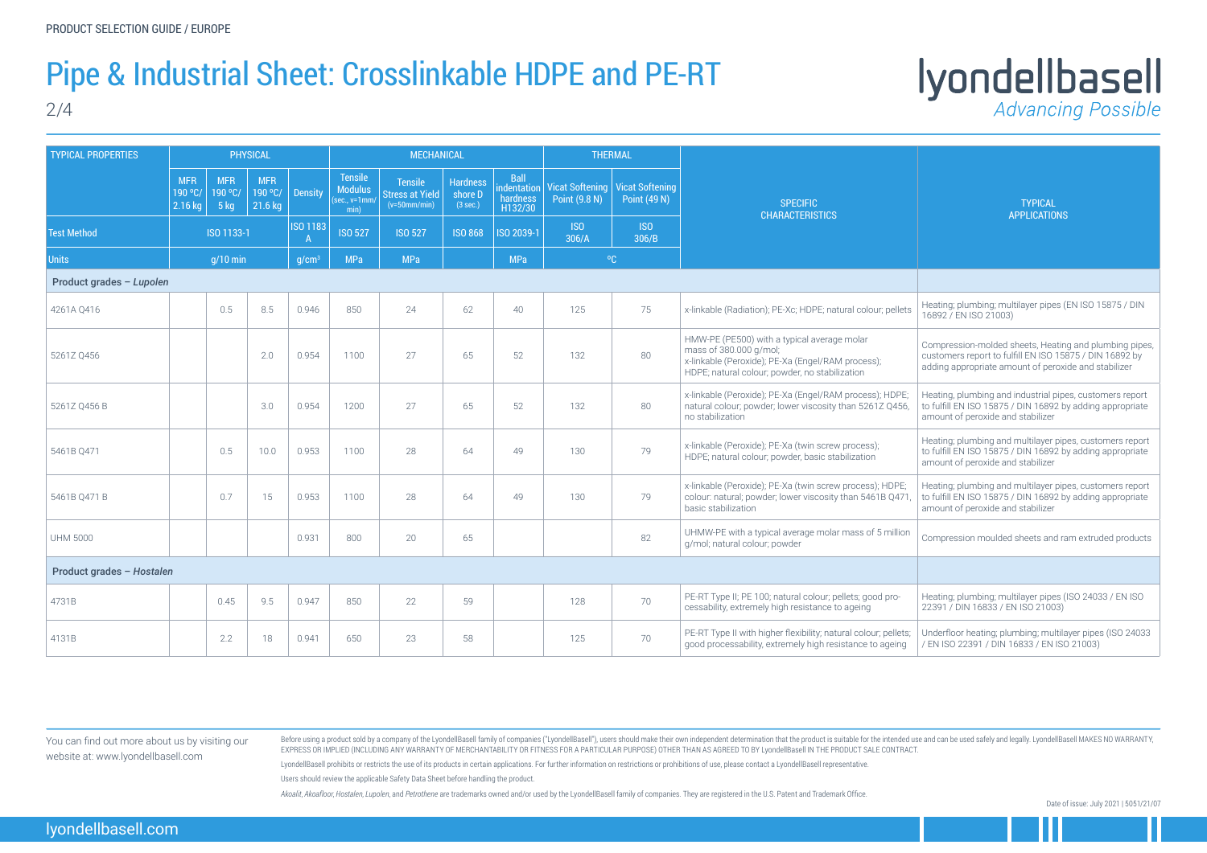Date of issue: July 2021 | 5051/21/07

### Pipe & Industrial Sheet: Crosslinkable HDPE and PE-RT

2/4

# Iyondellbasell

| <b>TYPICAL PROPERTIES</b> |                                    |                                  | <b>PHYSICAL</b>                   |                |                                                          | <b>MECHANICAL</b>                                   |                                        |                                                   |                     | <b>THERMAL</b>                                           |                                                                                                                                                                              |                                                                                                                                                                           |
|---------------------------|------------------------------------|----------------------------------|-----------------------------------|----------------|----------------------------------------------------------|-----------------------------------------------------|----------------------------------------|---------------------------------------------------|---------------------|----------------------------------------------------------|------------------------------------------------------------------------------------------------------------------------------------------------------------------------------|---------------------------------------------------------------------------------------------------------------------------------------------------------------------------|
|                           | <b>MFR</b><br>$190$ °C/<br>2.16 kg | <b>MFR</b><br>190 °C/<br>$-5$ kg | <b>MFR</b><br>190 °C/<br>21.6 kg  | <b>Density</b> | <b>Tensile</b><br><b>Modulus</b><br>sec., v=1mm/<br>min) | <b>Tensile</b><br>Stress at Yield<br>$(v=50mm/min)$ | <b>Hardness</b><br>shore D<br>(3 sec.) | <b>Ball</b><br>indentation<br>hardness<br>H132/30 | Point (9.8 N)       | Vicat Softening   Vicat Softening<br><b>Point (49 N)</b> | <b>SPECIFIC</b><br><b>CHARACTERISTICS</b>                                                                                                                                    | <b>TYPICAL</b><br><b>APPLICATIONS</b>                                                                                                                                     |
| <b>Test Method</b>        | ISO 1133-1                         |                                  | <b>ISO 1183</b><br>$\overline{A}$ | <b>ISO 527</b> | <b>ISO 527</b>                                           | <b>ISO 868</b>                                      | ISO 2039-1                             | ISO<br>306/A                                      | <b>ISO</b><br>306/B |                                                          |                                                                                                                                                                              |                                                                                                                                                                           |
| <b>Units</b>              | $q/10$ min                         |                                  | q/cm <sup>3</sup>                 | <b>MPa</b>     | <b>MPa</b>                                               |                                                     | <b>MPa</b>                             |                                                   | $^{\circ}$ C        |                                                          |                                                                                                                                                                              |                                                                                                                                                                           |
| Product grades - Lupolen  |                                    |                                  |                                   |                |                                                          |                                                     |                                        |                                                   |                     |                                                          |                                                                                                                                                                              |                                                                                                                                                                           |
| 4261A Q416                |                                    | 0.5                              | 8.5                               | 0.946          | 850                                                      | 24                                                  | 62                                     | 40                                                | 125                 | 75                                                       | x-linkable (Radiation); PE-Xc; HDPE; natural colour; pellets                                                                                                                 | Heating; plumbing; multilayer pipes (EN ISO 15875 / DIN<br>16892 / EN ISO 21003)                                                                                          |
| 5261Z 0456                |                                    |                                  | 2.0                               | 0.954          | 1100                                                     | 27                                                  | 65                                     | 52                                                | 132                 | 80                                                       | HMW-PE (PE500) with a typical average molar<br>mass of 380.000 g/mol;<br>x-linkable (Peroxide); PE-Xa (Engel/RAM process);<br>HDPE; natural colour; powder, no stabilization | Compression-molded sheets, Heating and plumbing pipes,<br>customers report to fulfill EN ISO 15875 / DIN 16892 by<br>adding appropriate amount of peroxide and stabilizer |
| 5261Z Q456 B              |                                    |                                  | 3.0                               | 0.954          | 1200                                                     | 27                                                  | 65                                     | 52                                                | 132                 | 80                                                       | x-linkable (Peroxide); PE-Xa (Engel/RAM process); HDPE;<br>natural colour; powder; lower viscosity than 5261Z Q456,<br>no stabilization                                      | Heating, plumbing and industrial pipes, customers report<br>to fulfill EN ISO 15875 / DIN 16892 by adding appropriate<br>amount of peroxide and stabilizer                |
| 5461B Q471                |                                    | 0.5                              | 10.0                              | 0.953          | 1100                                                     | 28                                                  | 64                                     | 49                                                | 130                 | 79                                                       | x-linkable (Peroxide); PE-Xa (twin screw process);<br>HDPE; natural colour; powder, basic stabilization                                                                      | Heating; plumbing and multilayer pipes, customers report<br>to fulfill EN ISO 15875 / DIN 16892 by adding appropriate<br>amount of peroxide and stabilizer                |
| 5461B 0471 B              |                                    | 0.7                              | 15                                | 0.953          | 1100                                                     | 28                                                  | 64                                     | 49                                                | 130                 | 79                                                       | x-linkable (Peroxide); PE-Xa (twin screw process); HDPE;<br>colour: natural; powder; lower viscosity than 5461B Q471<br>basic stabilization                                  | Heating; plumbing and multilayer pipes, customers report<br>to fulfill EN ISO 15875 / DIN 16892 by adding appropriate<br>amount of peroxide and stabilizer                |
| <b>UHM 5000</b>           |                                    |                                  |                                   | 0.931          | 800                                                      | 20                                                  | 65                                     |                                                   |                     | 82                                                       | UHMW-PE with a typical average molar mass of 5 million<br>g/mol; natural colour; powder                                                                                      | Compression moulded sheets and ram extruded products                                                                                                                      |
| Product grades - Hostalen |                                    |                                  |                                   |                |                                                          |                                                     |                                        |                                                   |                     |                                                          |                                                                                                                                                                              |                                                                                                                                                                           |
| 4731B                     |                                    | 0.45                             | 9.5                               | 0.947          | 850                                                      | 22                                                  | 59                                     |                                                   | 128                 | 70                                                       | PE-RT Type II; PE 100; natural colour; pellets; good pro-<br>cessability, extremely high resistance to ageing                                                                | Heating; plumbing; multilayer pipes (ISO 24033 / EN ISO<br>22391 / DIN 16833 / EN ISO 21003)                                                                              |
| 4131B                     |                                    | 2.2                              | 18                                | 0.941          | 650                                                      | 23                                                  | 58                                     |                                                   | 125                 | 70                                                       | PE-RT Type II with higher flexibility; natural colour; pellets;<br>good processability, extremely high resistance to ageing                                                  | Underfloor heating; plumbing; multilayer pipes (ISO 24033<br>/ EN ISO 22391 / DIN 16833 / EN ISO 21003)                                                                   |

Before using a product sold by a company of the LyondellBasell family of companies ("LyondellBasell"), users should make their own independent determination that the product is suitable for the intended use and can be used EXPRESS OR IMPLIED (INCLUDING ANY WARRANTY OF MERCHANTABILITY OR FITNESS FOR A PARTICULAR PURPOSE) OTHER THAN AS AGREED TO BY LyondellBasell IN THE PRODUCT SALE CONTRACT.

LyondellBasell prohibits or restricts the use of its products in certain applications. For further information on restrictions or prohibitions of use, please contact a LyondellBasell representative. Users should review the applicable Safety Data Sheet before handling the product.

Akoalit, Akoafloor, Hostalen, Lupolen, and Petrothene are trademarks owned and/or used by the LyondellBasell family of companies. They are registered in the U.S. Patent and Trademark Office.

You can find out more about us by visiting our website at: www.lyondellbasell.com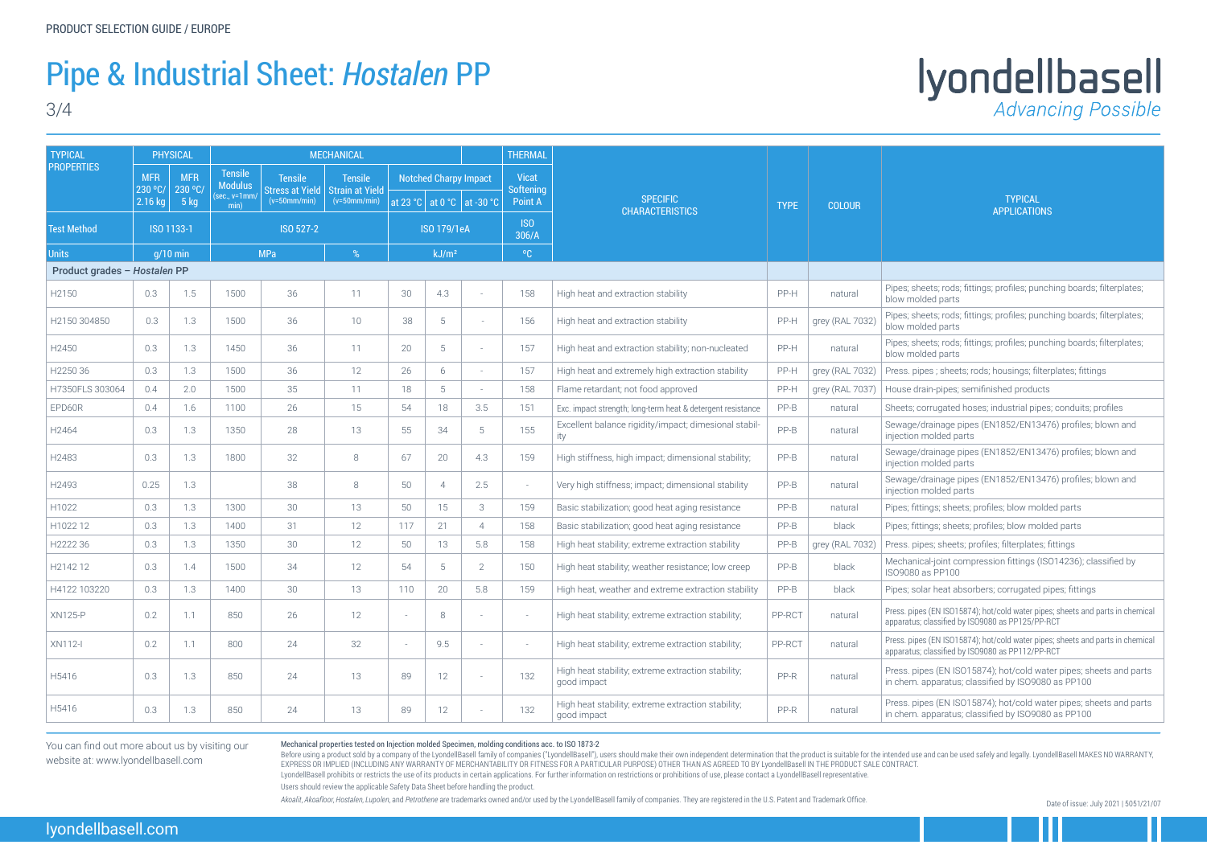#### Pipe & Industrial Sheet: *Hostalen* PP

3/4

## Iyondellbasell

Mechanical properties tested on Injection molded Specimen, molding conditions acc. to ISO 1873-2

Before using a product sold by a company of the LyondellBasell family of companies ("LyondellBasell"), users should make their own independent determination that the product is suitable for the intended use and can be used EXPRESS OR IMPLIED (INCLUDING ANY WARRANTY OF MERCHANTABILITY OR FITNESS FOR A PARTICULAR PURPOSE) OTHER THAN AS AGREED TO BY LyondellBasell IN THE PRODUCT SALE CONTRACT. LyondellBasell prohibits or restricts the use of its products in certain applications. For further information on restrictions or prohibitions of use, please contact a LyondellBasell representative. Users should review the applicable Safety Data Sheet before handling the product.

Akoalit, Akoafloor, Hostalen, Lupolen, and Petrothene are trademarks owned and/or used by the LyondellBasell family of companies. They are registered in the U.S. Patent and Trademark Office.



sheets; rods; fittings; profiles; punching boards; filterplates; holded parts

sheets; rods; fittings; profiles; punching boards; filterplates; holded parts

sheets; rods; fittings; profiles; punching boards; filterplates; holded parts

pipes; sheets; rods; housings; filterplates; fittings

drain-pipes; semifinished products

; corrugated hoses; industrial pipes; conduits; profiles

e/drainage pipes (EN1852/EN13476) profiles; blown and on molded parts

e/drainage pipes (EN1852/EN13476) profiles; blown and on molded parts

e/drainage pipes (EN1852/EN13476) profiles; blown and on molded parts

fittings; sheets; profiles; blow molded parts

fittings; sheets; profiles; blow molded parts

pipes; sheets; profiles; filterplates; fittings

hical-joint compression fittings (ISO14236); classified by 80 as PP100

solar heat absorbers; corrugated pipes; fittings

ipes (EN ISO15874); hot/cold water pipes; sheets and parts in chemical us; classified by ISO9080 as PP125/PP-RCT

ipes (EN ISO15874); hot/cold water pipes; sheets and parts in chemical us; classified by ISO9080 as PP112/PP-RCT

pipes (EN ISO15874); hot/cold water pipes; sheets and parts n. apparatus; classified by ISO9080 as PP100

pipes (EN ISO15874); hot/cold water pipes; sheets and parts n. apparatus; classified by ISO9080 as PP100

| <b>TYPICAL</b>               | PHYSICAL                         |                                                                                                                                                                                                                                                                                                        | <b>MECHANICAL</b> |                                                    |                    |                          |                |                     |                        |                                                                   |        |                   |                                                                                             |
|------------------------------|----------------------------------|--------------------------------------------------------------------------------------------------------------------------------------------------------------------------------------------------------------------------------------------------------------------------------------------------------|-------------------|----------------------------------------------------|--------------------|--------------------------|----------------|---------------------|------------------------|-------------------------------------------------------------------|--------|-------------------|---------------------------------------------------------------------------------------------|
| <b>PROPERTIES</b>            | <b>MFR</b><br>230 °C/<br>2.16 kg | <b>Tensile</b><br><b>MFR</b><br><b>Tensile</b><br><b>Notched Charpy Impact</b><br><b>Tensile</b><br><b>Modulus</b><br>230 °C/<br><b>Stress at Yield</b><br><b>Strain at Yield</b><br>(sec., v=1mm<br>$-5$ kg<br>$(v=50mm/min)$<br>$(v=50mm/min)$<br>at 23 °C $\vert$ at 0 °C $\vert$ at -30 °C<br>min) |                   | <b>Vicat</b><br><b>Softening</b><br><b>Point A</b> | <b>SPECIFIC</b>    | <b>TYPE</b>              | <b>COLOUR</b>  | <b>TYPICAL</b>      |                        |                                                                   |        |                   |                                                                                             |
| <b>Test Method</b>           |                                  | ISO 1133-1                                                                                                                                                                                                                                                                                             |                   | ISO 527-2                                          | <b>ISO 179/1eA</b> |                          |                | <b>ISO</b><br>306/A | <b>CHARACTERISTICS</b> |                                                                   |        | <b>APPLICATIO</b> |                                                                                             |
| <b>Units</b>                 | $q/10$ min                       |                                                                                                                                                                                                                                                                                                        |                   | <b>MPa</b>                                         | %                  | kJ/m <sup>2</sup>        |                |                     | $^{\circ}$ C           |                                                                   |        |                   |                                                                                             |
| Product grades - Hostalen PP |                                  |                                                                                                                                                                                                                                                                                                        |                   |                                                    |                    |                          |                |                     |                        |                                                                   |        |                   |                                                                                             |
| H2150                        | 0.3                              | 1.5                                                                                                                                                                                                                                                                                                    | 1500              | 36                                                 | 11                 | 30                       | 4.3            |                     | 158                    | High heat and extraction stability                                | PP-H   | natural           | Pipes; sheets; rods; fittings; profiles; pu<br>blow molded parts                            |
| H2150 304850                 | 0.3                              | 1.3                                                                                                                                                                                                                                                                                                    | 1500              | 36                                                 | 10                 | 38                       | 5              |                     | 156                    | High heat and extraction stability                                | PP-H   | grey (RAL 7032)   | Pipes; sheets; rods; fittings; profiles; pu<br>blow molded parts                            |
| H2450                        | 0.3                              | 1.3                                                                                                                                                                                                                                                                                                    | 1450              | 36                                                 | 11                 | 20                       | 5              |                     | 157                    | High heat and extraction stability; non-nucleated                 | PP-H   | natural           | Pipes; sheets; rods; fittings; profiles; pu<br>blow molded parts                            |
| H2250 36                     | 0.3                              | 1.3                                                                                                                                                                                                                                                                                                    | 1500              | 36                                                 | 12                 | 26                       | 6              |                     | 157                    | High heat and extremely high extraction stability                 | PP-H   | grey (RAL 7032)   | Press. pipes ; sheets; rods; housings; fi                                                   |
| H7350FLS 303064              | 0.4                              | 2.0                                                                                                                                                                                                                                                                                                    | 1500              | 35                                                 | 11                 | 18                       | 5              |                     | 158                    | Flame retardant; not food approved                                | PP-H   | grey (RAL 7037)   | House drain-pipes; semifinished produ-                                                      |
| EPD60R                       | 0.4                              | 1.6                                                                                                                                                                                                                                                                                                    | 1100              | 26                                                 | 15                 | 54                       | 18             | 3.5                 | 151                    | Exc. impact strength; long-term heat & detergent resistance       | $PP-B$ | natural           | Sheets; corrugated hoses; industrial pip                                                    |
| H2464                        | 0.3                              | 1.3                                                                                                                                                                                                                                                                                                    | 1350              | 28                                                 | 13                 | 55                       | 34             | 5                   | 155                    | Excellent balance rigidity/impact; dimesional stabil-<br>ity      | $PP-B$ | natural           | Sewage/drainage pipes (EN1852/EN13<br>injection molded parts                                |
| H2483                        | 0.3                              | 1.3                                                                                                                                                                                                                                                                                                    | 1800              | 32                                                 | 8                  | 67                       | 20             | 4.3                 | 159                    | High stiffness, high impact; dimensional stability;               | $PP-B$ | natural           | Sewage/drainage pipes (EN1852/EN13<br>injection molded parts                                |
| H2493                        | 0.25                             | 1.3                                                                                                                                                                                                                                                                                                    |                   | 38                                                 | 8                  | 50                       | $\overline{4}$ | 2.5                 | $\sim$                 | Very high stiffness; impact; dimensional stability                | $PP-B$ | natural           | Sewage/drainage pipes (EN1852/EN13<br>injection molded parts                                |
| H1022                        | 0.3                              | 1.3                                                                                                                                                                                                                                                                                                    | 1300              | 30                                                 | 13                 | 50                       | 15             | 3                   | 159                    | Basic stabilization; good heat aging resistance                   | $PP-B$ | natural           | Pipes; fittings; sheets; profiles; blow mo                                                  |
| H1022 12                     | 0.3                              | 1.3                                                                                                                                                                                                                                                                                                    | 1400              | 31                                                 | 12                 | 117                      | 21             | $\Delta$            | 158                    | Basic stabilization; good heat aging resistance                   | $PP-B$ | black             | Pipes; fittings; sheets; profiles; blow mo                                                  |
| H2222 36                     | 0.3                              | 1.3                                                                                                                                                                                                                                                                                                    | 1350              | 30                                                 | 12                 | 50                       | 13             | 5.8                 | 158                    | High heat stability; extreme extraction stability                 | $PP-B$ | grey (RAL 7032)   | Press. pipes; sheets; profiles; filterplate                                                 |
| H2142 12                     | 0.3                              | 1.4                                                                                                                                                                                                                                                                                                    | 1500              | 34                                                 | 12                 | 54                       | 5              | $\overline{2}$      | 150                    | High heat stability; weather resistance; low creep                | $PP-B$ | black             | Mechanical-joint compression fittings<br>ISO9080 as PP100                                   |
| H4122 103220                 | 0.3                              | 1.3                                                                                                                                                                                                                                                                                                    | 1400              | 30                                                 | 13                 | 110                      | 20             | 5.8                 | 159                    | High heat, weather and extreme extraction stability               | $PP-B$ | black             | Pipes; solar heat absorbers; corrugated                                                     |
| <b>XN125-P</b>               | 0.2                              | 1.1                                                                                                                                                                                                                                                                                                    | 850               | 26                                                 | 12                 |                          | 8              |                     | $\sim$                 | High heat stability; extreme extraction stability;                | PP-RCT | natural           | Press. pipes (EN ISO15874); hot/cold water p<br>apparatus; classified by ISO9080 as PP125/P |
| <b>XN112-I</b>               | 0.2                              | 1.1                                                                                                                                                                                                                                                                                                    | 800               | 24                                                 | 32                 | $\overline{\phantom{a}}$ | 9.5            |                     | $\sim$                 | High heat stability; extreme extraction stability;                | PP-RCT | natural           | Press. pipes (EN ISO15874); hot/cold water p<br>apparatus; classified by ISO9080 as PP112/P |
| H5416                        | 0.3                              | 1.3                                                                                                                                                                                                                                                                                                    | 850               | 24                                                 | 13                 | 89                       | 12             |                     | 132                    | High heat stability; extreme extraction stability;<br>good impact | PP-R   | natural           | Press. pipes (EN ISO15874); hot/cold v<br>in chem. apparatus; classified by ISO90           |
| H5416                        | 0.3                              | 1.3                                                                                                                                                                                                                                                                                                    | 850               | 24                                                 | 13                 | 89                       | 12             |                     | 132                    | High heat stability; extreme extraction stability;<br>good impact | PP-R   | natural           | Press. pipes (EN ISO15874); hot/cold v<br>in chem. apparatus; classified by ISO90           |

You can find out more about us by visiting our website at: www.lyondellbasell.com

Date of issue: July 2021 | 5051/21/07